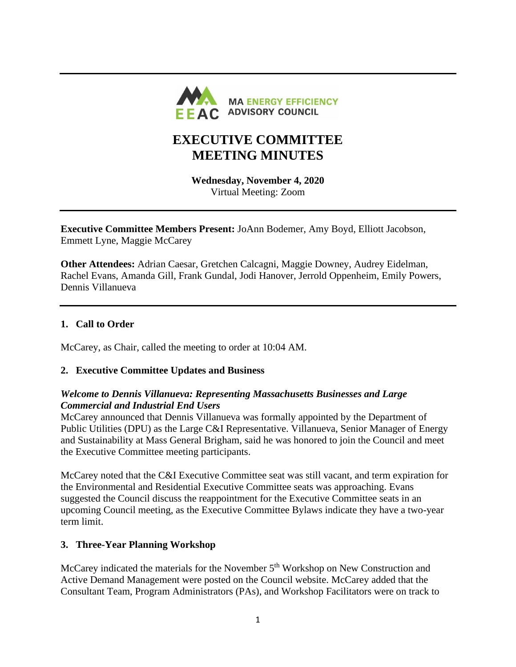

# **EXECUTIVE COMMITTEE MEETING MINUTES**

**Wednesday, November 4, 2020** Virtual Meeting: Zoom

**Executive Committee Members Present:** JoAnn Bodemer, Amy Boyd, Elliott Jacobson, Emmett Lyne, Maggie McCarey

**Other Attendees:** Adrian Caesar, Gretchen Calcagni, Maggie Downey, Audrey Eidelman, Rachel Evans, Amanda Gill, Frank Gundal, Jodi Hanover, Jerrold Oppenheim, Emily Powers, Dennis Villanueva

#### **1. Call to Order**

McCarey, as Chair, called the meeting to order at 10:04 AM.

#### **2. Executive Committee Updates and Business**

#### *Welcome to Dennis Villanueva: Representing Massachusetts Businesses and Large Commercial and Industrial End Users*

McCarey announced that Dennis Villanueva was formally appointed by the Department of Public Utilities (DPU) as the Large C&I Representative. Villanueva, Senior Manager of Energy and Sustainability at Mass General Brigham, said he was honored to join the Council and meet the Executive Committee meeting participants.

McCarey noted that the C&I Executive Committee seat was still vacant, and term expiration for the Environmental and Residential Executive Committee seats was approaching. Evans suggested the Council discuss the reappointment for the Executive Committee seats in an upcoming Council meeting, as the Executive Committee Bylaws indicate they have a two-year term limit.

## **3. Three-Year Planning Workshop**

McCarey indicated the materials for the November  $5<sup>th</sup>$  Workshop on New Construction and Active Demand Management were posted on the Council website. McCarey added that the Consultant Team, Program Administrators (PAs), and Workshop Facilitators were on track to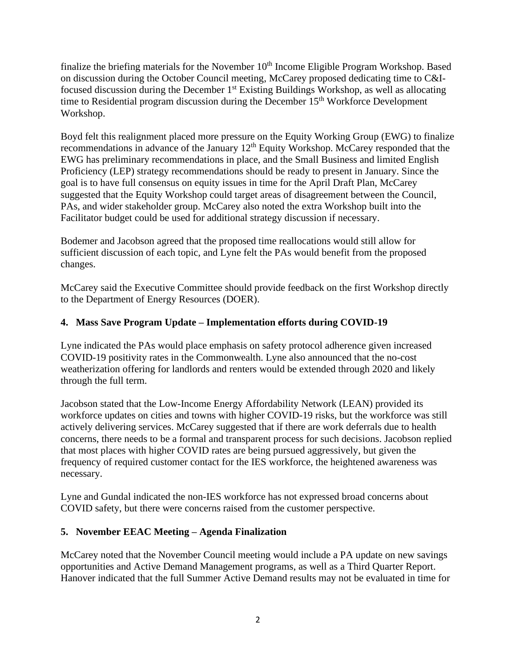finalize the briefing materials for the November  $10<sup>th</sup>$  Income Eligible Program Workshop. Based on discussion during the October Council meeting, McCarey proposed dedicating time to C&Ifocused discussion during the December 1st Existing Buildings Workshop, as well as allocating time to Residential program discussion during the December 15<sup>th</sup> Workforce Development Workshop.

Boyd felt this realignment placed more pressure on the Equity Working Group (EWG) to finalize recommendations in advance of the January  $12<sup>th</sup>$  Equity Workshop. McCarey responded that the EWG has preliminary recommendations in place, and the Small Business and limited English Proficiency (LEP) strategy recommendations should be ready to present in January. Since the goal is to have full consensus on equity issues in time for the April Draft Plan, McCarey suggested that the Equity Workshop could target areas of disagreement between the Council, PAs, and wider stakeholder group. McCarey also noted the extra Workshop built into the Facilitator budget could be used for additional strategy discussion if necessary.

Bodemer and Jacobson agreed that the proposed time reallocations would still allow for sufficient discussion of each topic, and Lyne felt the PAs would benefit from the proposed changes.

McCarey said the Executive Committee should provide feedback on the first Workshop directly to the Department of Energy Resources (DOER).

## **4. Mass Save Program Update – Implementation efforts during COVID-19**

Lyne indicated the PAs would place emphasis on safety protocol adherence given increased COVID-19 positivity rates in the Commonwealth. Lyne also announced that the no-cost weatherization offering for landlords and renters would be extended through 2020 and likely through the full term.

Jacobson stated that the Low-Income Energy Affordability Network (LEAN) provided its workforce updates on cities and towns with higher COVID-19 risks, but the workforce was still actively delivering services. McCarey suggested that if there are work deferrals due to health concerns, there needs to be a formal and transparent process for such decisions. Jacobson replied that most places with higher COVID rates are being pursued aggressively, but given the frequency of required customer contact for the IES workforce, the heightened awareness was necessary.

Lyne and Gundal indicated the non-IES workforce has not expressed broad concerns about COVID safety, but there were concerns raised from the customer perspective.

## **5. November EEAC Meeting – Agenda Finalization**

McCarey noted that the November Council meeting would include a PA update on new savings opportunities and Active Demand Management programs, as well as a Third Quarter Report. Hanover indicated that the full Summer Active Demand results may not be evaluated in time for